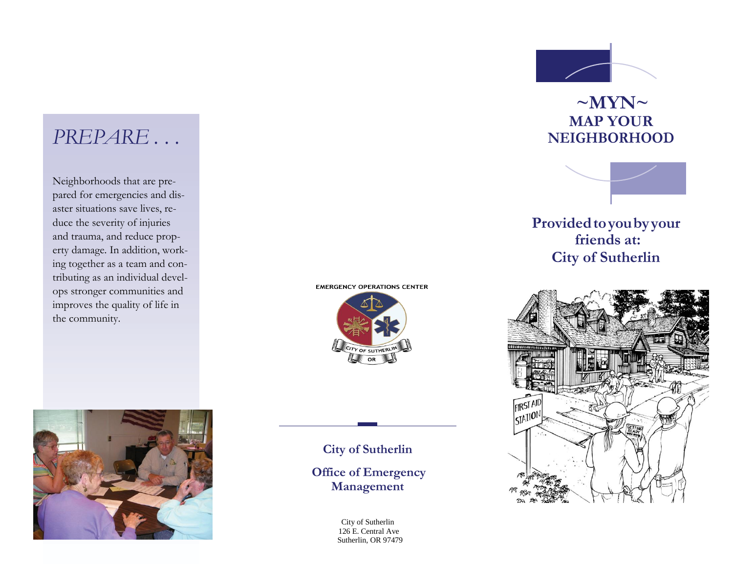### *PREPARE . . .*

Neighborhoods that are prepared for emergencies and disaster situations save lives, reduce the severity of injuries and trauma, and reduce property damage. In addition, working together as a team and contributing as an individual develops stronger communities and improves the quality of life in the community.



**EMERGENCY OPERATIONS CENTER** 



**City of Sutherlin Office of Emergency** 

**Management**

City of Sutherlin 126 E. Central Ave Sutherlin, OR 97479